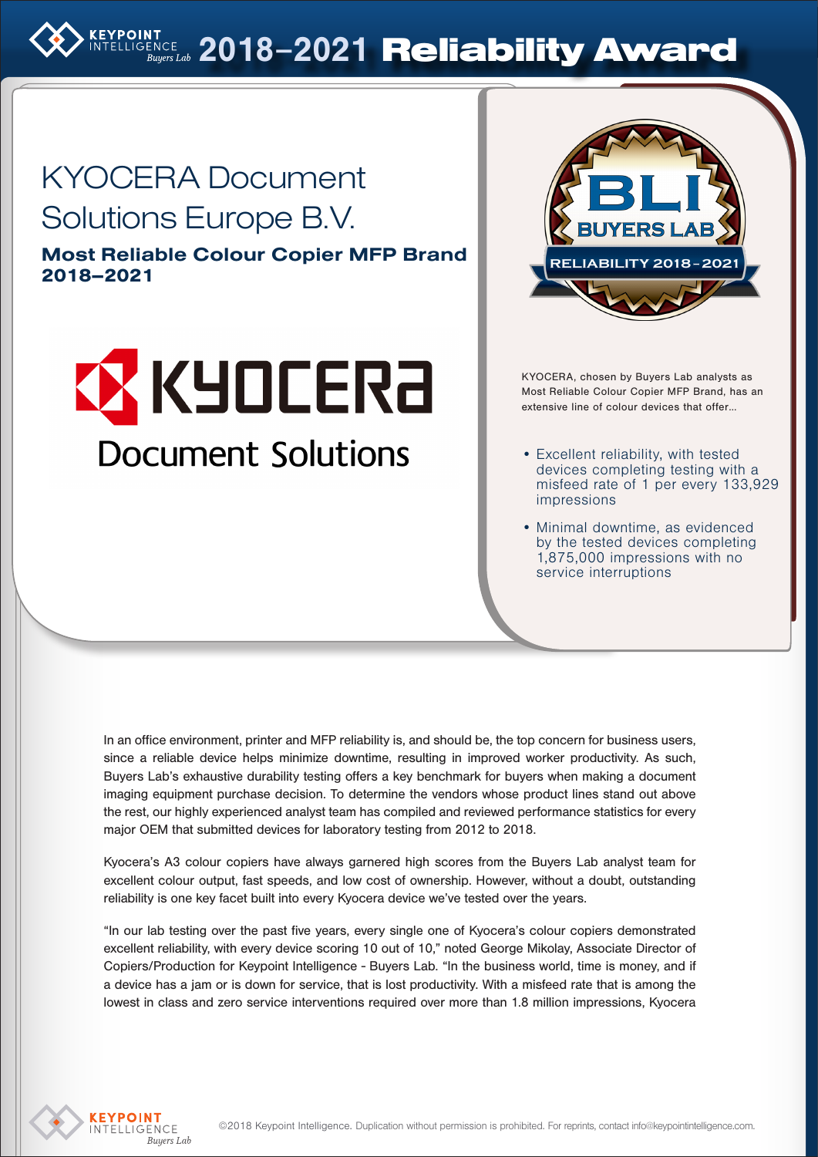

# KYOCERA Document Solutions Europe B.V.

Most Reliable Colour Copier MFP Brand 2018–2021





KYOCERA, chosen by Buyers Lab analysts as Most Reliable Colour Copier MFP Brand, has an extensive line of colour devices that offer…

- Excellent reliability, with tested devices completing testing with a misfeed rate of 1 per every 133,929 impressions
- Minimal downtime, as evidenced by the tested devices completing 1,875,000 impressions with no service interruptions

In an office environment, printer and MFP reliability is, and should be, the top concern for business users, since a reliable device helps minimize downtime, resulting in improved worker productivity. As such, Buyers Lab's exhaustive durability testing offers a key benchmark for buyers when making a document imaging equipment purchase decision. To determine the vendors whose product lines stand out above the rest, our highly experienced analyst team has compiled and reviewed performance statistics for every major OEM that submitted devices for laboratory testing from 2012 to 2018.

Kyocera's A3 colour copiers have always garnered high scores from the Buyers Lab analyst team for excellent colour output, fast speeds, and low cost of ownership. However, without a doubt, outstanding reliability is one key facet built into every Kyocera device we've tested over the years.

"In our lab testing over the past five years, every single one of Kyocera's colour copiers demonstrated excellent reliability, with every device scoring 10 out of 10," noted George Mikolay, Associate Director of Copiers/Production for Keypoint Intelligence - Buyers Lab. "In the business world, time is money, and if a device has a jam or is down for service, that is lost productivity. With a misfeed rate that is among the lowest in class and zero service interventions required over more than 1.8 million impressions, Kyocera